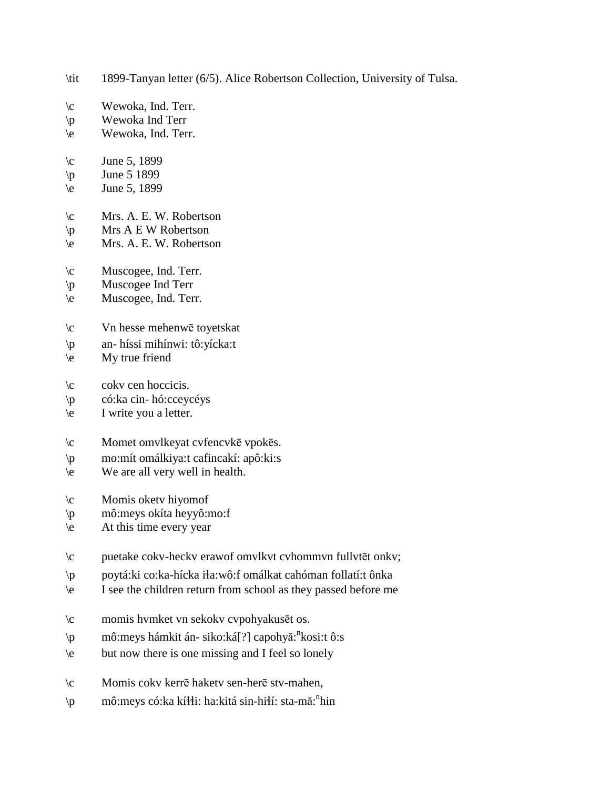- \tit 1899-Tanyan letter (6/5). Alice Robertson Collection, University of Tulsa.
- \c Wewoka, Ind. Terr.
- \p Wewoka Ind Terr
- \e Wewoka, Ind. Terr.
- $\c$  June 5, 1899
- $\pi$  June 5 1899
- $\text{e}$  June 5, 1899
- \c Mrs. A. E. W. Robertson
- \p Mrs A E W Robertson
- \e Mrs. A. E. W. Robertson
- \c Muscogee, Ind. Terr.
- \p Muscogee Ind Terr
- \e Muscogee, Ind. Terr.
- \c Vn hesse mehenwē toyetskat
- \p an- híssi mihínwi: tô:yícka:t
- $\leq$  My true friend
- \c cokv cen hoccicis.
- \p có:ka cin- hó:cceycéys
- $\begin{bmatrix} e \\ h \end{bmatrix}$  I write you a letter.
- \c Momet omvlkeyat cvfencvkē vpokēs.
- \p mo:mít omálkiya:t cafincakí: apô:ki:s
- \e We are all very well in health.
- \c Momis oketv hiyomof
- \p mô:meys okíta heyyô:mo:f
- $\text{e}$  At this time every year
- \c puetake cokv-heckv erawof omvlkvt cvhommvn fullvtēt onkv;
- \p poytá:ki co:ka-hícka i!a:wô:f omálkat cahóman follatí:t ônka
- \e I see the children return from school as they passed before me
- \c momis hvmket vn sekokv cvpohyakusēt os.
- \p mô:meys hámkit án- siko:ká[?] capohyă: n kosi:t ô:s
- \e but now there is one missing and I feel so lonely
- \c Momis cokv kerrē haketv sen-herē stv-mahen,
- \p mô:meys có:ka kí\i: ha:kitá sin-hi\í: sta-mă:<sup>n</sup>hin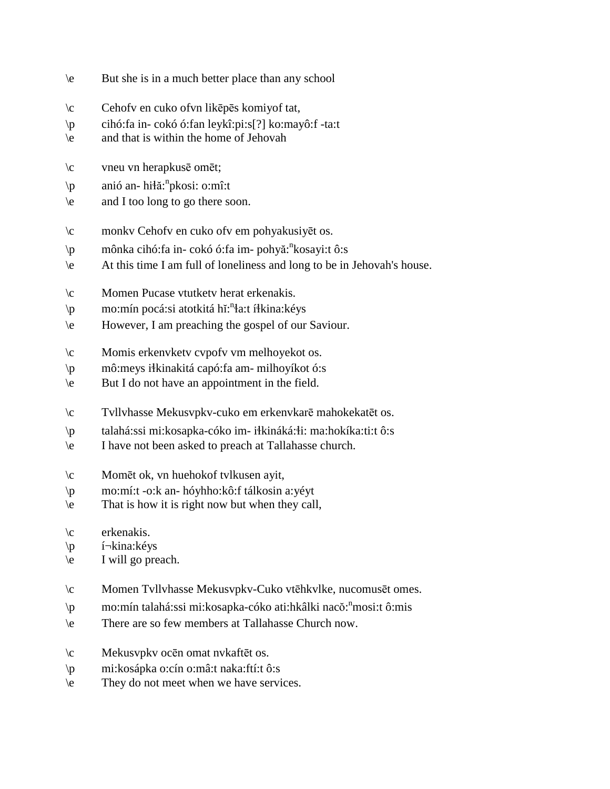- \e But she is in a much better place than any school
- \c Cehofv en cuko ofvn likēpēs komiyof tat,
- \p cihó:fa in- cokó ó:fan leykî:pi:s[?] ko:mayô:f -ta:t
- \e and that is within the home of Jehovah
- \c vneu vn herapkusē omēt;
- \p anió an- hi\atain anissi: o:mî:t
- \e and I too long to go there soon.
- \c monkv Cehofv en cuko ofv em pohyakusiyēt os.
- \p mônka cihó:fa in- cokó ó:fa im- pohyă: n kosayi:t ô:s
- \e At this time I am full of loneliness and long to be in Jehovah's house.
- \c Momen Pucase vtutketv herat erkenakis.
- \p mo:mín pocá:si atotkitá hĭ:<sup>n</sup>ła:t íłkina:kéys
- \e However, I am preaching the gospel of our Saviour.
- \c Momis erkenvketv cvpofv vm melhoyekot os.
- \p mô:meys i!kinakitá capó:fa am- milhoyíkot ó:s
- \e But I do not have an appointment in the field.
- \c Tvllvhasse Mekusvpkv-cuko em erkenvkarē mahokekatēt os.
- \p talahá:ssi mi:kosapka-cóko im- i!kináká:!i: ma:hokíka:ti:t ô:s
- \e I have not been asked to preach at Tallahasse church.
- \c Momēt ok, vn huehokof tvlkusen ayit,
- \p mo:mí:t -o:k an- hóyhho:kô:f tálkosin a:yéyt
- \e That is how it is right now but when they call,
- \c erkenakis.
- \p í¬kina:kéys
- \e I will go preach.
- \c Momen Tvllvhasse Mekusvpkv-Cuko vtēhkvlke, nucomusēt omes.
- \p mo:mín talahá:ssi mi:kosapka-cóko ati:hkâlki nacŏ:<sup>n</sup>mosi:t ô:mis
- \e There are so few members at Tallahasse Church now.
- \c Mekusvpkv ocēn omat nvkaftēt os.
- \p mi:kosápka o:cín o:mâ:t naka:ftí:t ô:s
- \e They do not meet when we have services.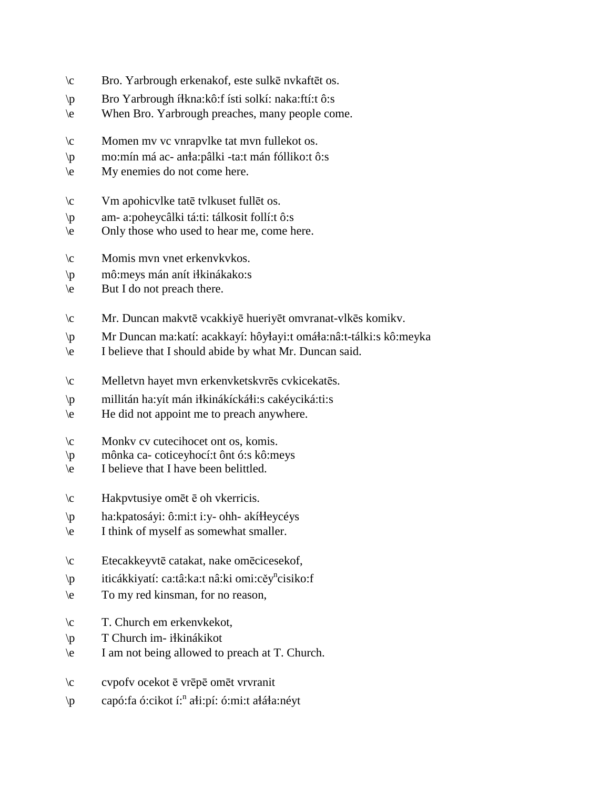- \c Bro. Yarbrough erkenakof, este sulkē nvkaftēt os.
- \p Bro Yarbrough í!kna:kô:f ísti solkí: naka:ftí:t ô:s
- \e When Bro. Yarbrough preaches, many people come.
- \c Momen mv vc vnrapvlke tat mvn fullekot os.
- \p mo:mín má ac- an!a:pâlki -ta:t mán fólliko:t ô:s
- \e My enemies do not come here.
- \c Vm apohicvlke tatē tvlkuset fullēt os.
- \p am- a:poheycâlki tá:ti: tálkosit follí:t ô:s
- \e Only those who used to hear me, come here.
- \c Momis mvn vnet erkenvkvkos.
- \p mô:meys mán anít i!kinákako:s
- \e But I do not preach there.
- \c Mr. Duncan makvtē vcakkiyē hueriyēt omvranat-vlkēs komikv.
- \p Mr Duncan ma:katí: acakkayí: hôyłayi:t omáła:nâ:t-tálki:s kô:meyka
- \e I believe that I should abide by what Mr. Duncan said.
- \c Melletvn hayet mvn erkenvketskvrēs cvkicekatēs.
- \p millitán ha:yít mán i!kinákícká!i:s cakéyciká:ti:s
- \e He did not appoint me to preach anywhere.
- \c Monkv cv cutecihocet ont os, komis.
- \p mônka ca- coticeyhocí:t ônt ó:s kô:meys
- \e I believe that I have been belittled.
- \c Hakpvtusiye omēt ē oh vkerricis.
- \p ha:kpatosáyi: ô:mi:t i:y- ohh- akí!!eycéys
- \e I think of myself as somewhat smaller.
- \c Etecakkeyvtē catakat, nake omēcicesekof,
- \p iticákkiyatí: ca:tâ:ka:t nâ:ki omi:cěy<sup>n</sup>cisiko:f
- \e To my red kinsman, for no reason,
- \c T. Church em erkenvkekot,
- $\pi$  T Church im- i $\frac{1}{\pi}$ kinákikot
- \e I am not being allowed to preach at T. Church.
- \c cvpofv ocekot ē vrēpē omēt vrvranit
- \p capó:fa ó:cikot í:" aɬi:pí: ó:mi:t aɬáɬa:néyt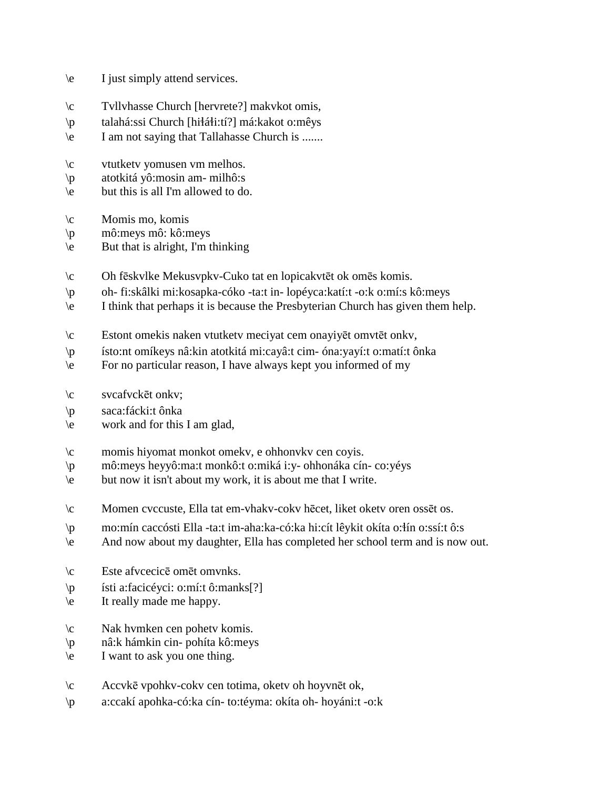| $\backslash e$ |  | I just simply attend services. |
|----------------|--|--------------------------------|
|                |  |                                |

- \c Tvllvhasse Church [hervrete?] makvkot omis,
- \p talahá:ssi Church [hiłáłi:tí?] má:kakot o:mêys
- \e I am not saying that Tallahasse Church is .......
- \c vtutketv yomusen vm melhos.
- \p atotkitá yô:mosin am- milhô:s
- \e but this is all I'm allowed to do.
- $\c$  Momis mo, komis
- \p mô:meys mô: kô:meys
- \e But that is alright, I'm thinking
- \c Oh fēskvlke Mekusvpkv-Cuko tat en lopicakvtēt ok omēs komis.
- \p oh- fi:skâlki mi:kosapka-cóko -ta:t in- lopéyca:katí:t -o:k o:mí:s kô:meys
- \e I think that perhaps it is because the Presbyterian Church has given them help.
- \c Estont omekis naken vtutketv meciyat cem onayiyēt omvtēt onkv,
- \p ísto:nt omíkeys nâ:kin atotkitá mi:cayâ:t cim- óna:yayí:t o:matí:t ônka
- \e For no particular reason, I have always kept you informed of my
- \c svcafvckēt onkv;
- \p saca:fácki:t ônka
- \e work and for this I am glad,
- \c momis hiyomat monkot omekv, e ohhonvkv cen coyis.
- \p mô:meys heyyô:ma:t monkô:t o:miká i:y- ohhonáka cín- co:yéys
- \e but now it isn't about my work, it is about me that I write.
- \c Momen cvccuste, Ella tat em-vhakv-cokv hēcet, liket oketv oren ossēt os.
- \p mo:mín caccósti Ella -ta:t im-aha:ka-có:ka hi:cít lêykit okíta o:!ín o:ssí:t ô:s
- \e And now about my daughter, Ella has completed her school term and is now out.
- \c Este afvcecicē omēt omvnks.
- \p ísti a:facicéyci: o:mí:t ô:manks[?]
- \e It really made me happy.
- \c Nak hvmken cen pohetv komis.
- \p nâ:k hámkin cin- pohíta kô:meys
- \e I want to ask you one thing.
- \c Accvkē vpohkv-cokv cen totima, oketv oh hoyvnēt ok,
- \p a:ccakí apohka-có:ka cín- to:téyma: okíta oh- hoyáni:t -o:k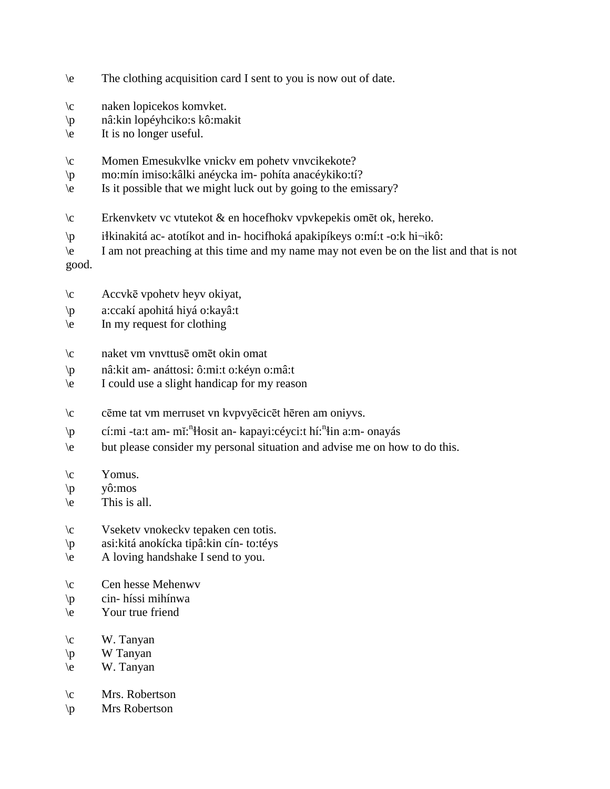- \e The clothing acquisition card I sent to you is now out of date.
- \c naken lopicekos komvket.
- \p nâ:kin lopéyhciko:s kô:makit
- \e It is no longer useful.
- \c Momen Emesukvlke vnickv em pohetv vnvcikekote?
- \p mo:mín imiso:kâlki anéycka im- pohíta anacéykiko:tí?
- \e Is it possible that we might luck out by going to the emissary?
- \c Erkenvketv vc vtutekot & en hocefhokv vpvkepekis omēt ok, hereko.
- \p i!kinakitá ac- atotíkot and in- hocifhoká apakipíkeys o:mí:t -o:k hi¬ikô:

\e I am not preaching at this time and my name may not even be on the list and that is not good.

- \c Accvkē vpohetv heyv okiyat,
- \p a:ccakí apohitá hiyá o:kayâ:t
- \e In my request for clothing
- \c naket vm vnvttusē omēt okin omat
- \p nâ:kit am- anáttosi: ô:mi:t o:kéyn o:mâ:t
- \e I could use a slight handicap for my reason
- \c cēme tat vm merruset vn kvpvyēcicēt hēren am oniyvs.
- \p cí:mi -ta:t am- mĭ:<sup>n</sup>ilosit an- kapayi:céyci:t hí:<sup>n</sup>in a:m- onayás
- \e but please consider my personal situation and advise me on how to do this.
- $\operatorname{V}\nolimits$  Yomus.
- \p yô:mos
- $\le$  This is all.
- \c Vseketv vnokeckv tepaken cen totis.
- \p asi:kitá anokícka tipâ:kin cín- to:téys
- \e A loving handshake I send to you.
- \c Cen hesse Mehenwv
- \p cin- híssi mihínwa
- \e Your true friend
- $\c$  W. Tanyan
- \p W Tanyan
- \e W. Tanyan
- \c Mrs. Robertson
- \p Mrs Robertson